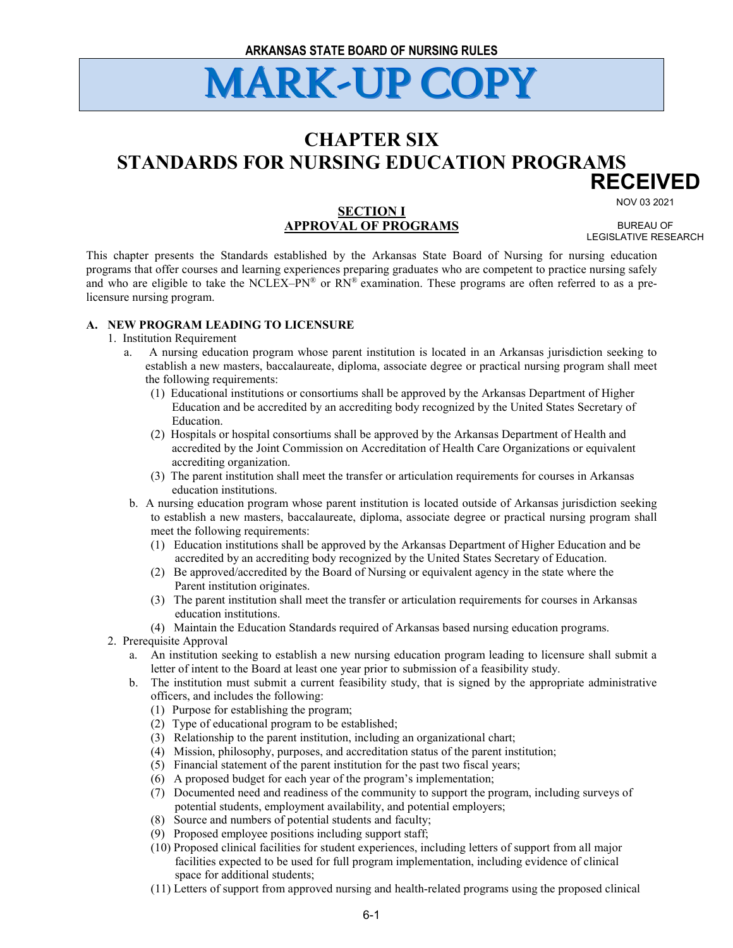### **CHAPTER SIX STANDARDS FOR NURSING EDUCATION PROGRAMS RECEIVED**

NOV 03 2021

### **SECTION I APPROVAL OF PROGRAMS**

BUREAU OF LEGISLATIVE RESEARCH

This chapter presents the Standards established by the Arkansas State Board of Nursing for nursing education programs that offer courses and learning experiences preparing graduates who are competent to practice nursing safely and who are eligible to take the NCLEX–PN® or RN® examination. These programs are often referred to as a prelicensure nursing program.

#### **A. NEW PROGRAM LEADING TO LICENSURE**

#### 1. Institution Requirement

- a. A nursing education program whose parent institution is located in an Arkansas jurisdiction seeking to establish a new masters, baccalaureate, diploma, associate degree or practical nursing program shall meet the following requirements:
	- (1) Educational institutions or consortiums shall be approved by the Arkansas Department of Higher Education and be accredited by an accrediting body recognized by the United States Secretary of Education.
	- (2) Hospitals or hospital consortiums shall be approved by the Arkansas Department of Health and accredited by the Joint Commission on Accreditation of Health Care Organizations or equivalent accrediting organization.
	- (3) The parent institution shall meet the transfer or articulation requirements for courses in Arkansas education institutions.
- b. A nursing education program whose parent institution is located outside of Arkansas jurisdiction seeking to establish a new masters, baccalaureate, diploma, associate degree or practical nursing program shall meet the following requirements:
	- (1) Education institutions shall be approved by the Arkansas Department of Higher Education and be accredited by an accrediting body recognized by the United States Secretary of Education.
	- (2) Be approved/accredited by the Board of Nursing or equivalent agency in the state where the Parent institution originates.
	- (3) The parent institution shall meet the transfer or articulation requirements for courses in Arkansas education institutions.
	- (4) Maintain the Education Standards required of Arkansas based nursing education programs.
- 2. Prerequisite Approval
	- a. An institution seeking to establish a new nursing education program leading to licensure shall submit a letter of intent to the Board at least one year prior to submission of a feasibility study.
	- b. The institution must submit a current feasibility study, that is signed by the appropriate administrative officers, and includes the following:
		- (1) Purpose for establishing the program;
		- (2) Type of educational program to be established;
		- (3) Relationship to the parent institution, including an organizational chart;
		- (4) Mission, philosophy, purposes, and accreditation status of the parent institution;
		- (5) Financial statement of the parent institution for the past two fiscal years;
		- (6) A proposed budget for each year of the program's implementation;
		- (7) Documented need and readiness of the community to support the program, including surveys of potential students, employment availability, and potential employers;
		- (8) Source and numbers of potential students and faculty;
		- (9) Proposed employee positions including support staff;
		- (10) Proposed clinical facilities for student experiences, including letters of support from all major facilities expected to be used for full program implementation, including evidence of clinical space for additional students;
		- (11) Letters of support from approved nursing and health-related programs using the proposed clinical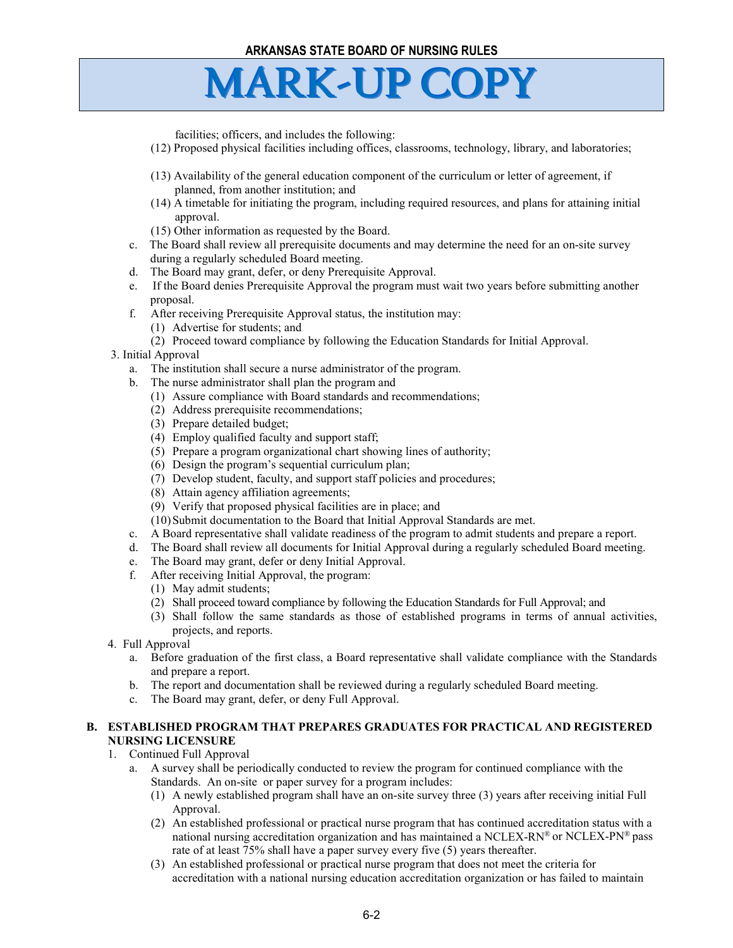facilities; officers, and includes the following:

- (12) Proposed physical facilities including offices, classrooms, technology, library, and laboratories;
- (13) Availability of the general education component of the curriculum or letter of agreement, if planned, from another institution; and
- (14) A timetable for initiating the program, including required resources, and plans for attaining initial approval.
- (15) Other information as requested by the Board.
- c. The Board shall review all prerequisite documents and may determine the need for an on-site survey during a regularly scheduled Board meeting.
- d. The Board may grant, defer, or deny Prerequisite Approval.
- e. If the Board denies Prerequisite Approval the program must wait two years before submitting another proposal.
- f. After receiving Prerequisite Approval status, the institution may:
	- (1) Advertise for students; and
	- (2) Proceed toward compliance by following the Education Standards for Initial Approval.

#### 3. Initial Approval

- a. The institution shall secure a nurse administrator of the program.
- b. The nurse administrator shall plan the program and
	- (1) Assure compliance with Board standards and recommendations;
	- (2) Address prerequisite recommendations;
	- (3) Prepare detailed budget;
	- (4) Employ qualified faculty and support staff;
	- (5) Prepare a program organizational chart showing lines of authority;
	- (6) Design the program's sequential curriculum plan;
	- (7) Develop student, faculty, and support staff policies and procedures;
	- (8) Attain agency affiliation agreements;
	- (9) Verify that proposed physical facilities are in place; and
	- (10)Submit documentation to the Board that Initial Approval Standards are met.
- c. A Board representative shall validate readiness of the program to admit students and prepare a report.
- d. The Board shall review all documents for Initial Approval during a regularly scheduled Board meeting.
- e. The Board may grant, defer or deny Initial Approval.
- f. After receiving Initial Approval, the program:
	- (1) May admit students;
	- (2) Shall proceed toward compliance by following the Education Standards for Full Approval; and
	- (3) Shall follow the same standards as those of established programs in terms of annual activities, projects, and reports.
- 4. Full Approval
	- a. Before graduation of the first class, a Board representative shall validate compliance with the Standards and prepare a report.
	- b. The report and documentation shall be reviewed during a regularly scheduled Board meeting.
	- c. The Board may grant, defer, or deny Full Approval.

#### **B. ESTABLISHED PROGRAM THAT PREPARES GRADUATES FOR PRACTICAL AND REGISTERED NURSING LICENSURE**

#### 1. Continued Full Approval

- a. A survey shall be periodically conducted to review the program for continued compliance with the Standards. An on-site or paper survey for a program includes:
	- (1) A newly established program shall have an on-site survey three (3) years after receiving initial Full Approval.
	- (2) An established professional or practical nurse program that has continued accreditation status with a national nursing accreditation organization and has maintained a NCLEX-RN® or NCLEX-PN® pass rate of at least 75% shall have a paper survey every five (5) years thereafter.
	- (3) An established professional or practical nurse program that does not meet the criteria for accreditation with a national nursing education accreditation organization or has failed to maintain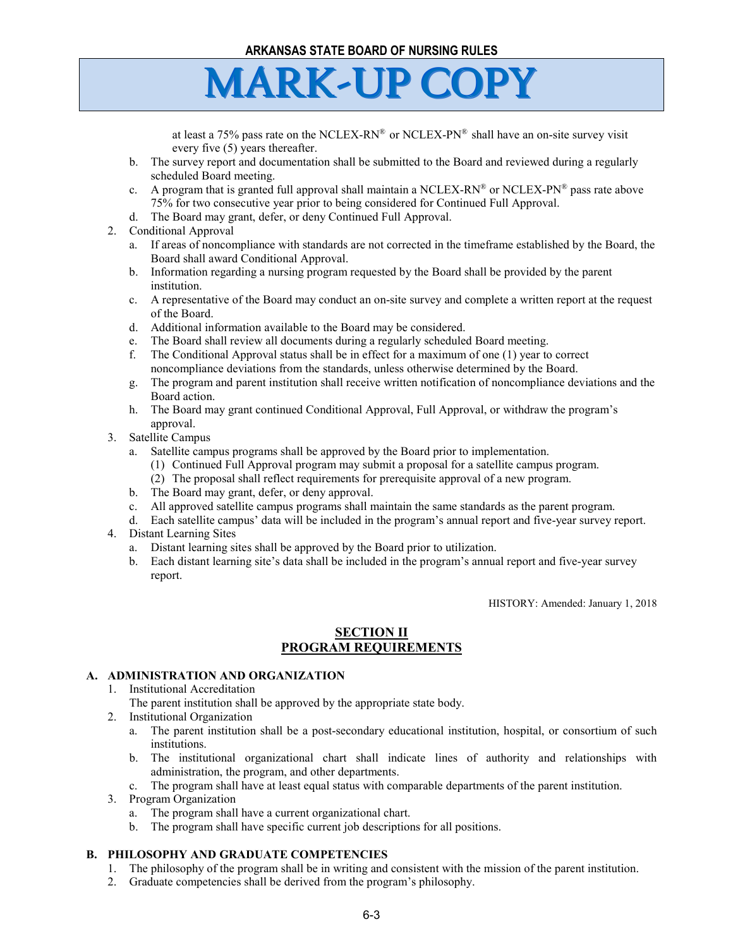at least a 75% pass rate on the NCLEX-RN® or NCLEX-PN® shall have an on-site survey visit every five (5) years thereafter.

- b. The survey report and documentation shall be submitted to the Board and reviewed during a regularly scheduled Board meeting.
- c. A program that is granted full approval shall maintain a NCLEX-RN® or NCLEX-PN® pass rate above 75% for two consecutive year prior to being considered for Continued Full Approval.
- d. The Board may grant, defer, or deny Continued Full Approval.
- 2. Conditional Approval
	- a. If areas of noncompliance with standards are not corrected in the timeframe established by the Board, the Board shall award Conditional Approval.
	- b. Information regarding a nursing program requested by the Board shall be provided by the parent institution.
	- c. A representative of the Board may conduct an on-site survey and complete a written report at the request of the Board.
	- d. Additional information available to the Board may be considered.
	- e. The Board shall review all documents during a regularly scheduled Board meeting.
	- f. The Conditional Approval status shall be in effect for a maximum of one (1) year to correct noncompliance deviations from the standards, unless otherwise determined by the Board.
	- g. The program and parent institution shall receive written notification of noncompliance deviations and the Board action.
	- h. The Board may grant continued Conditional Approval, Full Approval, or withdraw the program's approval.
- 3. Satellite Campus
	- a. Satellite campus programs shall be approved by the Board prior to implementation.
		- (1) Continued Full Approval program may submit a proposal for a satellite campus program.
		- (2) The proposal shall reflect requirements for prerequisite approval of a new program.
	- b. The Board may grant, defer, or deny approval.
	- c. All approved satellite campus programs shall maintain the same standards as the parent program.
	- d. Each satellite campus' data will be included in the program's annual report and five-year survey report.
- 4. Distant Learning Sites
	- a. Distant learning sites shall be approved by the Board prior to utilization.
	- b. Each distant learning site's data shall be included in the program's annual report and five-year survey report.

HISTORY: Amended: January 1, 2018

### **SECTION II PROGRAM REQUIREMENTS**

#### **A. ADMINISTRATION AND ORGANIZATION**

- 1. Institutional Accreditation
	- The parent institution shall be approved by the appropriate state body.
- 2. Institutional Organization
	- a. The parent institution shall be a post-secondary educational institution, hospital, or consortium of such institutions.
	- b. The institutional organizational chart shall indicate lines of authority and relationships with administration, the program, and other departments.
	- c. The program shall have at least equal status with comparable departments of the parent institution.
- 3. Program Organization
	- a. The program shall have a current organizational chart.
	- b. The program shall have specific current job descriptions for all positions.

#### **B. PHILOSOPHY AND GRADUATE COMPETENCIES**

- 1. The philosophy of the program shall be in writing and consistent with the mission of the parent institution.
- 2. Graduate competencies shall be derived from the program's philosophy.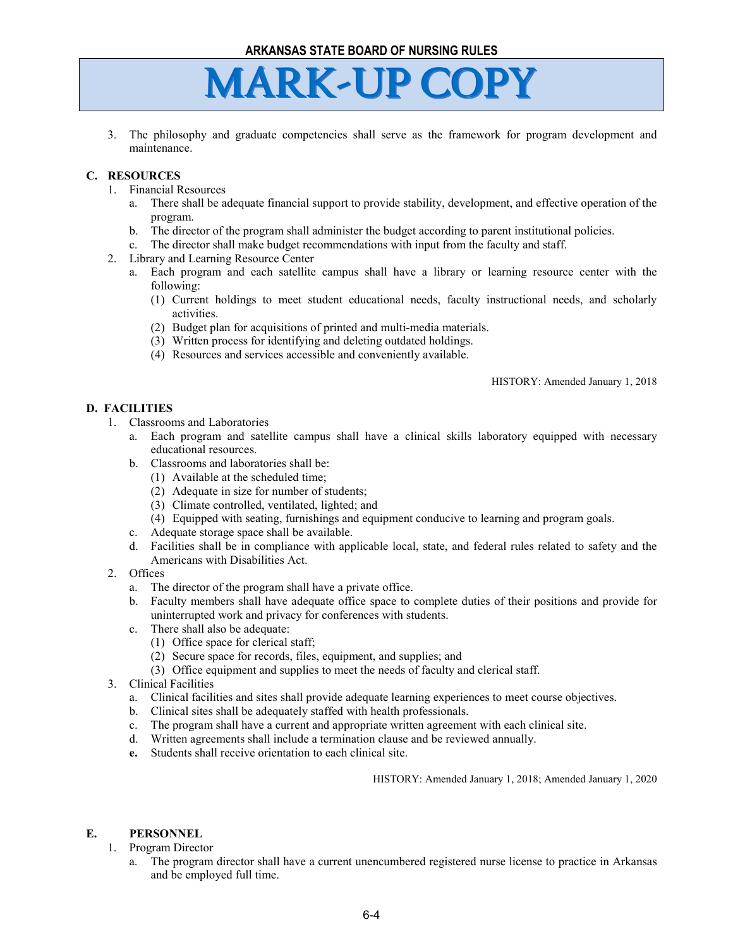3. The philosophy and graduate competencies shall serve as the framework for program development and maintenance.

### **C. RESOURCES**

- 1. Financial Resources
	- a. There shall be adequate financial support to provide stability, development, and effective operation of the program.
	- b. The director of the program shall administer the budget according to parent institutional policies.
	- c. The director shall make budget recommendations with input from the faculty and staff.
- 2. Library and Learning Resource Center
	- a. Each program and each satellite campus shall have a library or learning resource center with the following:
		- (1) Current holdings to meet student educational needs, faculty instructional needs, and scholarly activities.
		- (2) Budget plan for acquisitions of printed and multi-media materials.
		- (3) Written process for identifying and deleting outdated holdings.
		- (4) Resources and services accessible and conveniently available.

HISTORY: Amended January 1, 2018

#### **D. FACILITIES**

- 1. Classrooms and Laboratories
	- a. Each program and satellite campus shall have a clinical skills laboratory equipped with necessary educational resources.
	- b. Classrooms and laboratories shall be:
		- (1) Available at the scheduled time;
		- (2) Adequate in size for number of students;
		- (3) Climate controlled, ventilated, lighted; and
		- (4) Equipped with seating, furnishings and equipment conducive to learning and program goals.
	- c. Adequate storage space shall be available.
	- d. Facilities shall be in compliance with applicable local, state, and federal rules related to safety and the Americans with Disabilities Act.
- 2. Offices
	- a. The director of the program shall have a private office.
	- b. Faculty members shall have adequate office space to complete duties of their positions and provide for uninterrupted work and privacy for conferences with students.
	- c. There shall also be adequate:
		- (1) Office space for clerical staff;
		- (2) Secure space for records, files, equipment, and supplies; and
		- (3) Office equipment and supplies to meet the needs of faculty and clerical staff.
- 3. Clinical Facilities
	- a. Clinical facilities and sites shall provide adequate learning experiences to meet course objectives.
	- b. Clinical sites shall be adequately staffed with health professionals.
	- c. The program shall have a current and appropriate written agreement with each clinical site.
	- d. Written agreements shall include a termination clause and be reviewed annually.
	- **e.** Students shall receive orientation to each clinical site.

HISTORY: Amended January 1, 2018; Amended January 1, 2020

#### **E. PERSONNEL**

- 1. Program Director
	- a. The program director shall have a current unencumbered registered nurse license to practice in Arkansas and be employed full time.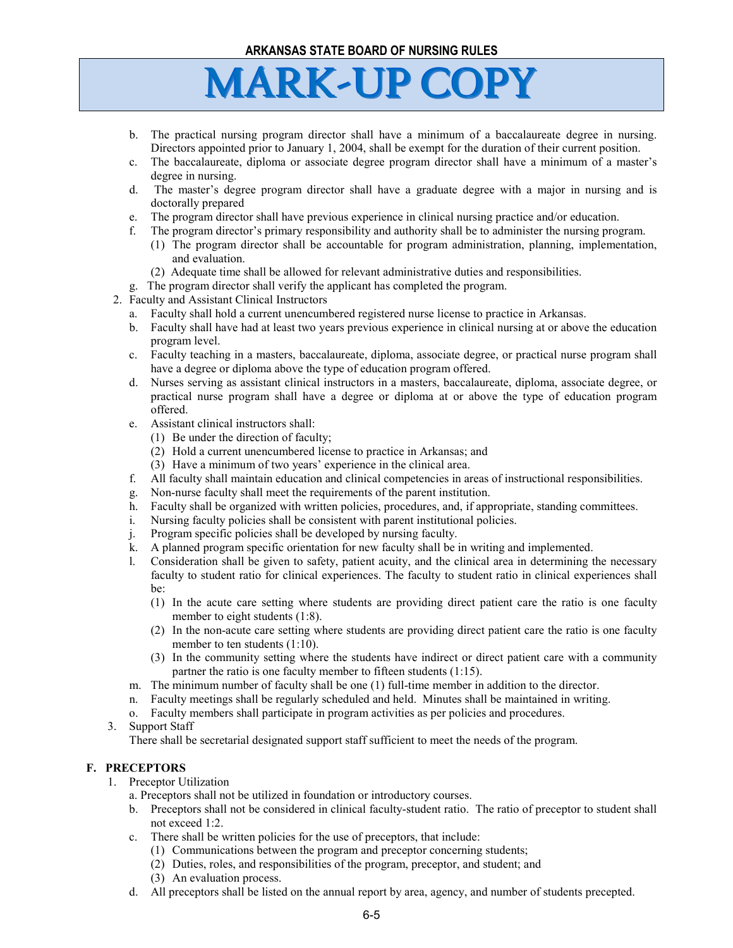- b. The practical nursing program director shall have a minimum of a baccalaureate degree in nursing. Directors appointed prior to January 1, 2004, shall be exempt for the duration of their current position.
- c. The baccalaureate, diploma or associate degree program director shall have a minimum of a master's degree in nursing.
- d. The master's degree program director shall have a graduate degree with a major in nursing and is doctorally prepared
- e. The program director shall have previous experience in clinical nursing practice and/or education.
- f. The program director's primary responsibility and authority shall be to administer the nursing program.
	- (1) The program director shall be accountable for program administration, planning, implementation, and evaluation.
	- (2) Adequate time shall be allowed for relevant administrative duties and responsibilities.
- g. The program director shall verify the applicant has completed the program.
- 2. Faculty and Assistant Clinical Instructors
	- a. Faculty shall hold a current unencumbered registered nurse license to practice in Arkansas.
	- b. Faculty shall have had at least two years previous experience in clinical nursing at or above the education program level.
	- c. Faculty teaching in a masters, baccalaureate, diploma, associate degree, or practical nurse program shall have a degree or diploma above the type of education program offered.
	- d. Nurses serving as assistant clinical instructors in a masters, baccalaureate, diploma, associate degree, or practical nurse program shall have a degree or diploma at or above the type of education program offered.
	- e. Assistant clinical instructors shall:
		- (1) Be under the direction of faculty;
		- (2) Hold a current unencumbered license to practice in Arkansas; and
		- (3) Have a minimum of two years' experience in the clinical area.
	- f. All faculty shall maintain education and clinical competencies in areas of instructional responsibilities.
	- g. Non-nurse faculty shall meet the requirements of the parent institution.
	- h. Faculty shall be organized with written policies, procedures, and, if appropriate, standing committees.
	- i. Nursing faculty policies shall be consistent with parent institutional policies.
	- j. Program specific policies shall be developed by nursing faculty.
	- k. A planned program specific orientation for new faculty shall be in writing and implemented.
	- l. Consideration shall be given to safety, patient acuity, and the clinical area in determining the necessary faculty to student ratio for clinical experiences. The faculty to student ratio in clinical experiences shall be:
		- (1) In the acute care setting where students are providing direct patient care the ratio is one faculty member to eight students (1:8).
		- (2) In the non-acute care setting where students are providing direct patient care the ratio is one faculty member to ten students (1:10).
		- (3) In the community setting where the students have indirect or direct patient care with a community partner the ratio is one faculty member to fifteen students (1:15).
	- m. The minimum number of faculty shall be one (1) full-time member in addition to the director.
	- n. Faculty meetings shall be regularly scheduled and held. Minutes shall be maintained in writing.
	- o. Faculty members shall participate in program activities as per policies and procedures.
- 3. Support Staff

There shall be secretarial designated support staff sufficient to meet the needs of the program.

#### **F. PRECEPTORS**

- 1. Preceptor Utilization
	- a. Preceptors shall not be utilized in foundation or introductory courses.
	- b. Preceptors shall not be considered in clinical faculty-student ratio. The ratio of preceptor to student shall not exceed 1:2.
	- c. There shall be written policies for the use of preceptors, that include:
		- (1) Communications between the program and preceptor concerning students;
		- (2) Duties, roles, and responsibilities of the program, preceptor, and student; and
		- (3) An evaluation process.
	- d. All preceptors shall be listed on the annual report by area, agency, and number of students precepted.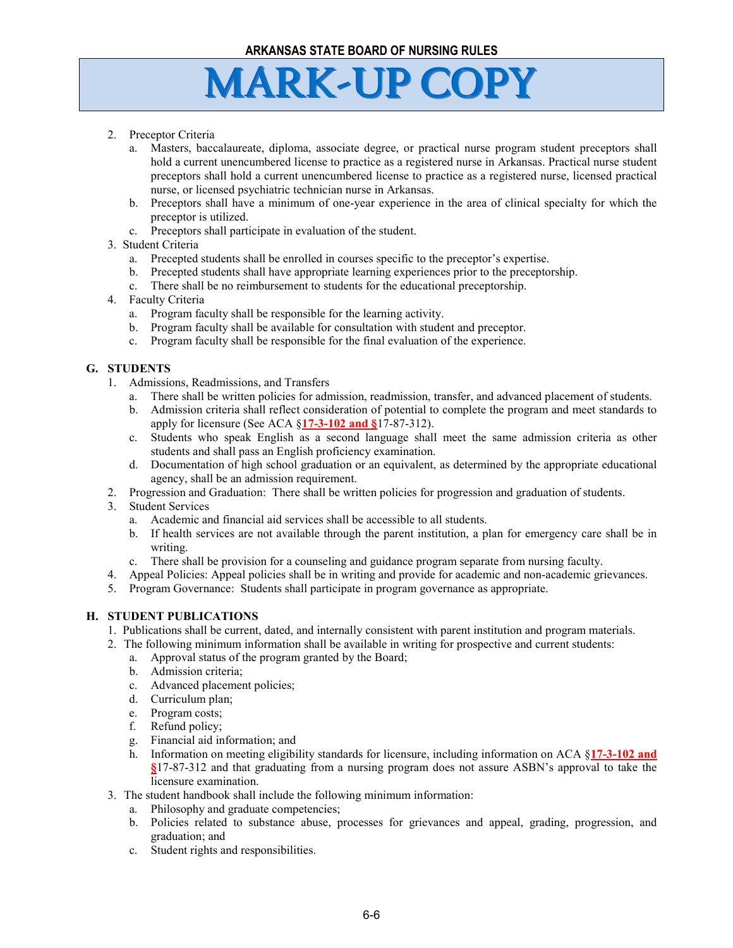- 2. Preceptor Criteria
	- a. Masters, baccalaureate, diploma, associate degree, or practical nurse program student preceptors shall hold a current unencumbered license to practice as a registered nurse in Arkansas. Practical nurse student preceptors shall hold a current unencumbered license to practice as a registered nurse, licensed practical nurse, or licensed psychiatric technician nurse in Arkansas.
	- b. Preceptors shall have a minimum of one-year experience in the area of clinical specialty for which the preceptor is utilized.
	- c. Preceptors shall participate in evaluation of the student.
- 3. Student Criteria
	- a. Precepted students shall be enrolled in courses specific to the preceptor's expertise.
	- b. Precepted students shall have appropriate learning experiences prior to the preceptorship.
	- c. There shall be no reimbursement to students for the educational preceptorship.
- 4. Faculty Criteria
	- a. Program faculty shall be responsible for the learning activity.
	- b. Program faculty shall be available for consultation with student and preceptor.
	- c. Program faculty shall be responsible for the final evaluation of the experience.

### **G. STUDENTS**

- 1. Admissions, Readmissions, and Transfers
	- a. There shall be written policies for admission, readmission, transfer, and advanced placement of students.
	- b. Admission criteria shall reflect consideration of potential to complete the program and meet standards to apply for licensure (See ACA §**17-3-102 and §**17-87-312).
	- c. Students who speak English as a second language shall meet the same admission criteria as other students and shall pass an English proficiency examination.
	- d. Documentation of high school graduation or an equivalent, as determined by the appropriate educational agency, shall be an admission requirement.
- 2. Progression and Graduation: There shall be written policies for progression and graduation of students.
- 3. Student Services
	- a. Academic and financial aid services shall be accessible to all students.
	- b. If health services are not available through the parent institution, a plan for emergency care shall be in writing.
	- c. There shall be provision for a counseling and guidance program separate from nursing faculty.
- 4. Appeal Policies: Appeal policies shall be in writing and provide for academic and non-academic grievances.
- 5. Program Governance: Students shall participate in program governance as appropriate.

#### **H. STUDENT PUBLICATIONS**

- 1. Publications shall be current, dated, and internally consistent with parent institution and program materials.
- 2. The following minimum information shall be available in writing for prospective and current students:
	- a. Approval status of the program granted by the Board;
	- b. Admission criteria;
	- c. Advanced placement policies;
	- d. Curriculum plan;
	- e. Program costs;
	- f. Refund policy;
	- g. Financial aid information; and
	- h. Information on meeting eligibility standards for licensure, including information on ACA §**17-3-102 and §**17-87-312 and that graduating from a nursing program does not assure ASBN's approval to take the licensure examination.
- 3. The student handbook shall include the following minimum information:
	- a. Philosophy and graduate competencies;
	- b. Policies related to substance abuse, processes for grievances and appeal, grading, progression, and graduation; and
	- c. Student rights and responsibilities.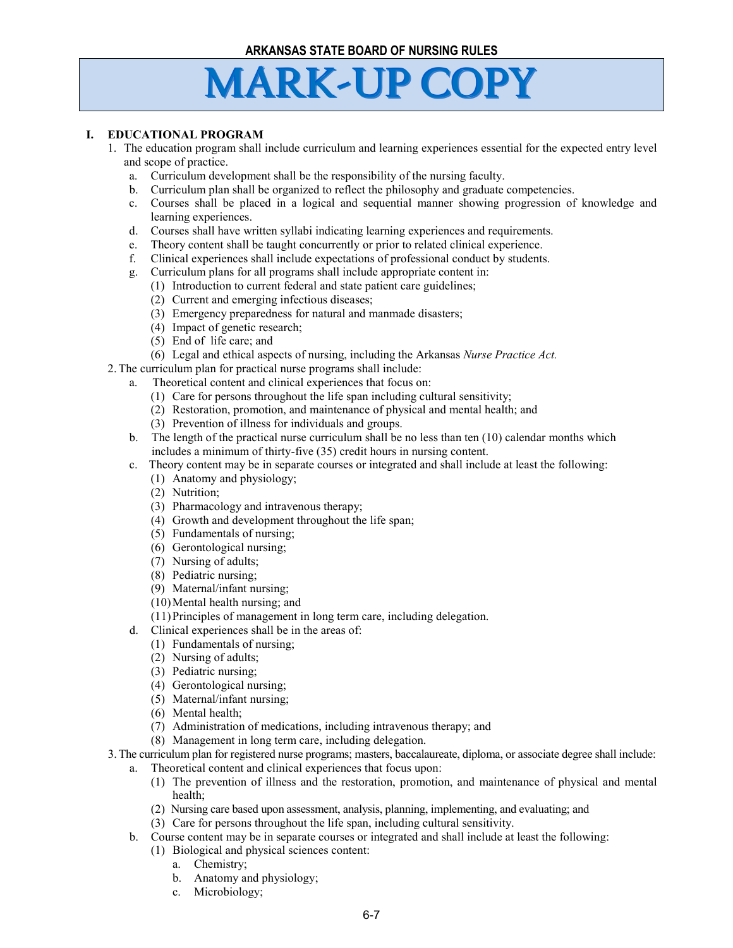#### **I. EDUCATIONAL PROGRAM**

- 1. The education program shall include curriculum and learning experiences essential for the expected entry level and scope of practice.
	- a. Curriculum development shall be the responsibility of the nursing faculty.
	- b. Curriculum plan shall be organized to reflect the philosophy and graduate competencies.
	- c. Courses shall be placed in a logical and sequential manner showing progression of knowledge and learning experiences.
	- d. Courses shall have written syllabi indicating learning experiences and requirements.
	- e. Theory content shall be taught concurrently or prior to related clinical experience.
	- f. Clinical experiences shall include expectations of professional conduct by students.
	- g. Curriculum plans for all programs shall include appropriate content in:
		- (1) Introduction to current federal and state patient care guidelines;
		- (2) Current and emerging infectious diseases;
		- (3) Emergency preparedness for natural and manmade disasters;
		- (4) Impact of genetic research;
		- (5) End of life care; and
	- (6) Legal and ethical aspects of nursing, including the Arkansas *Nurse Practice Act.*
- 2.The curriculum plan for practical nurse programs shall include:
	- a. Theoretical content and clinical experiences that focus on:
		- (1) Care for persons throughout the life span including cultural sensitivity;
		- (2) Restoration, promotion, and maintenance of physical and mental health; and
		- (3) Prevention of illness for individuals and groups.
	- b. The length of the practical nurse curriculum shall be no less than ten (10) calendar months which includes a minimum of thirty-five (35) credit hours in nursing content.
	- c. Theory content may be in separate courses or integrated and shall include at least the following:
		- (1) Anatomy and physiology;
		- (2) Nutrition;
		- (3) Pharmacology and intravenous therapy;
		- (4) Growth and development throughout the life span;
		- (5) Fundamentals of nursing;
		- (6) Gerontological nursing;
		- (7) Nursing of adults;
		- (8) Pediatric nursing;
		- (9) Maternal/infant nursing;
		- (10)Mental health nursing; and
		- (11)Principles of management in long term care, including delegation.
	- d. Clinical experiences shall be in the areas of:
		- (1) Fundamentals of nursing;
		- (2) Nursing of adults;
		- (3) Pediatric nursing;
		- (4) Gerontological nursing;
		- (5) Maternal/infant nursing;
		- (6) Mental health;
		- (7) Administration of medications, including intravenous therapy; and
		- (8) Management in long term care, including delegation.
- 3.The curriculum plan for registered nurse programs; masters, baccalaureate, diploma, or associate degree shall include:
	- a. Theoretical content and clinical experiences that focus upon:
		- (1) The prevention of illness and the restoration, promotion, and maintenance of physical and mental health;
		- (2) Nursing care based upon assessment, analysis, planning, implementing, and evaluating; and
		- (3) Care for persons throughout the life span, including cultural sensitivity.
	- b. Course content may be in separate courses or integrated and shall include at least the following:
		- (1) Biological and physical sciences content:
			- a. Chemistry;
			- b. Anatomy and physiology;
			- c. Microbiology;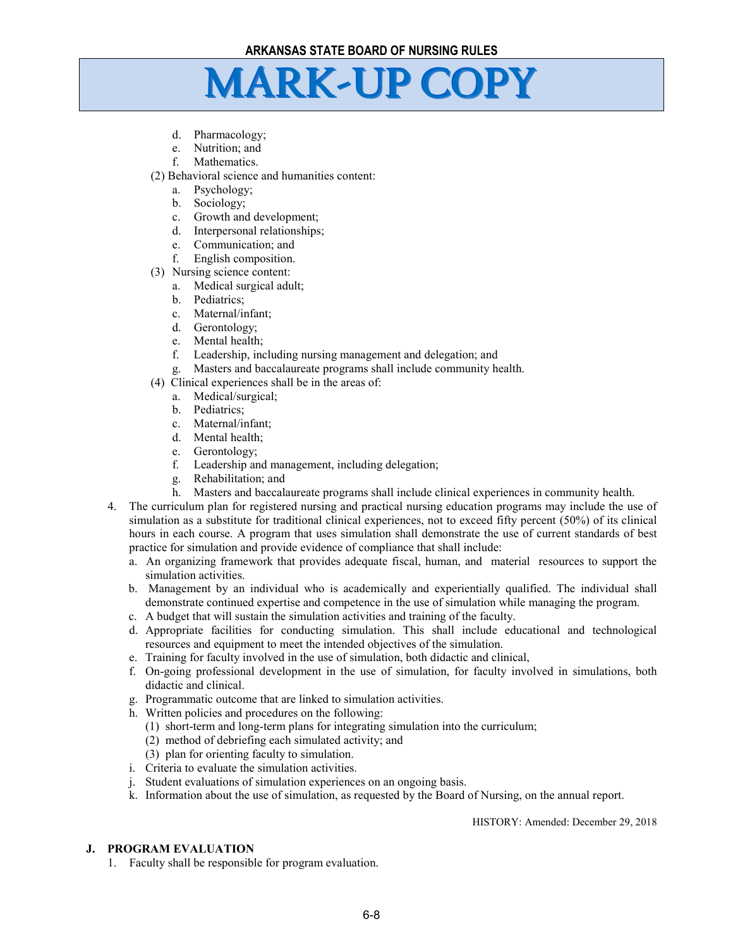- d. Pharmacology;
- e. Nutrition; and
- f. Mathematics.
- (2) Behavioral science and humanities content:
	- a. Psychology;
	- b. Sociology;
	- c. Growth and development;
	- d. Interpersonal relationships;
	- e. Communication; and
	- f. English composition.
- (3) Nursing science content:
	- a. Medical surgical adult;
	- b. Pediatrics;
	- c. Maternal/infant;
	- d. Gerontology;
	- e. Mental health;
	- f. Leadership, including nursing management and delegation; and
	- g. Masters and baccalaureate programs shall include community health.
- (4) Clinical experiences shall be in the areas of:
	- a. Medical/surgical;
	- b. Pediatrics;
	- c. Maternal/infant;
	- d. Mental health;
	- e. Gerontology;
	- f. Leadership and management, including delegation;
	- g. Rehabilitation; and
	- h. Masters and baccalaureate programs shall include clinical experiences in community health.
- 4. The curriculum plan for registered nursing and practical nursing education programs may include the use of simulation as a substitute for traditional clinical experiences, not to exceed fifty percent (50%) of its clinical hours in each course. A program that uses simulation shall demonstrate the use of current standards of best practice for simulation and provide evidence of compliance that shall include:
	- a. An organizing framework that provides adequate fiscal, human, and material resources to support the simulation activities.
	- b. Management by an individual who is academically and experientially qualified. The individual shall demonstrate continued expertise and competence in the use of simulation while managing the program.
	- c. A budget that will sustain the simulation activities and training of the faculty.
	- d. Appropriate facilities for conducting simulation. This shall include educational and technological resources and equipment to meet the intended objectives of the simulation.
	- e. Training for faculty involved in the use of simulation, both didactic and clinical,
	- f. On-going professional development in the use of simulation, for faculty involved in simulations, both didactic and clinical.
	- g. Programmatic outcome that are linked to simulation activities.
	- h. Written policies and procedures on the following:
		- (1) short-term and long-term plans for integrating simulation into the curriculum;
		- (2) method of debriefing each simulated activity; and
		- (3) plan for orienting faculty to simulation.
	- i. Criteria to evaluate the simulation activities.
	- j. Student evaluations of simulation experiences on an ongoing basis.
	- k. Information about the use of simulation, as requested by the Board of Nursing, on the annual report.

HISTORY: Amended: December 29, 2018

#### **J. PROGRAM EVALUATION**

1. Faculty shall be responsible for program evaluation.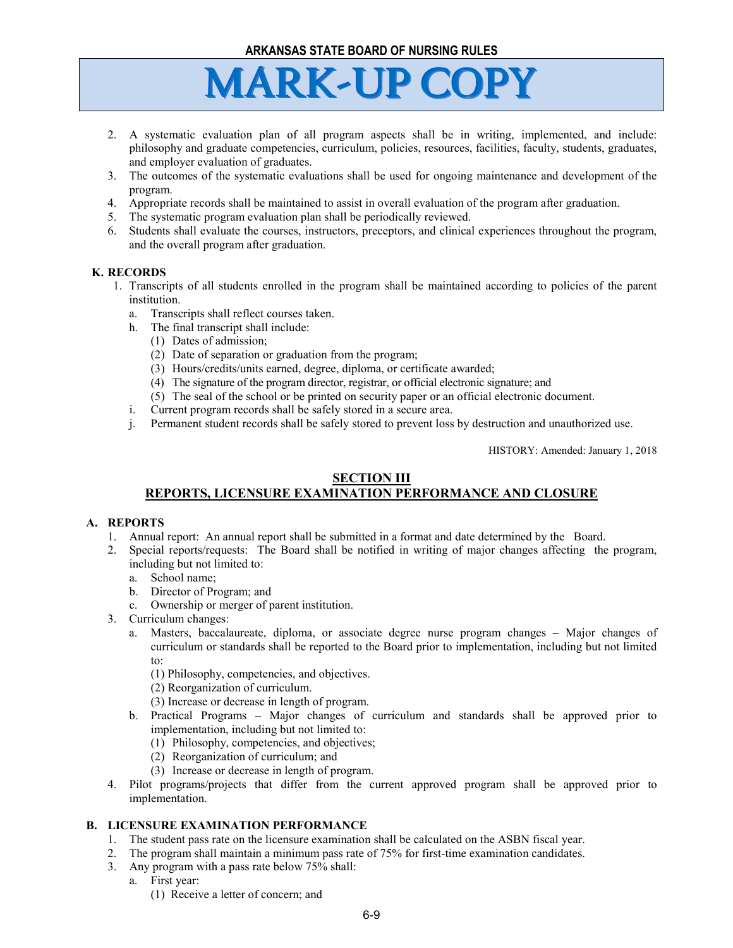- 2. A systematic evaluation plan of all program aspects shall be in writing, implemented, and include: philosophy and graduate competencies, curriculum, policies, resources, facilities, faculty, students, graduates, and employer evaluation of graduates.
- 3. The outcomes of the systematic evaluations shall be used for ongoing maintenance and development of the program.
- 4. Appropriate records shall be maintained to assist in overall evaluation of the program after graduation.
- 5. The systematic program evaluation plan shall be periodically reviewed.
- 6. Students shall evaluate the courses, instructors, preceptors, and clinical experiences throughout the program, and the overall program after graduation.

#### **K. RECORDS**

- 1. Transcripts of all students enrolled in the program shall be maintained according to policies of the parent institution.
	- a. Transcripts shall reflect courses taken.
	- h. The final transcript shall include:
		- (1) Dates of admission;
		- (2) Date of separation or graduation from the program;
		- (3) Hours/credits/units earned, degree, diploma, or certificate awarded;
		- (4) The signature of the program director, registrar, or official electronic signature; and
		- (5) The seal of the school or be printed on security paper or an official electronic document.
	- i. Current program records shall be safely stored in a secure area.
	- j. Permanent student records shall be safely stored to prevent loss by destruction and unauthorized use.

HISTORY: Amended: January 1, 2018

### **SECTION III**

### **REPORTS, LICENSURE EXAMINATION PERFORMANCE AND CLOSURE**

### **A. REPORTS**

- 1. Annual report: An annual report shall be submitted in a format and date determined by the Board.
- 2. Special reports/requests: The Board shall be notified in writing of major changes affecting the program, including but not limited to:
	- a. School name;
	- b. Director of Program; and
	- c. Ownership or merger of parent institution.
- 3. Curriculum changes:
	- a. Masters, baccalaureate, diploma, or associate degree nurse program changes Major changes of curriculum or standards shall be reported to the Board prior to implementation, including but not limited to:
		- (1) Philosophy, competencies, and objectives.
		- (2) Reorganization of curriculum.
		- (3) Increase or decrease in length of program.
	- b. Practical Programs Major changes of curriculum and standards shall be approved prior to implementation, including but not limited to:
		- (1) Philosophy, competencies, and objectives;
		- (2) Reorganization of curriculum; and
		- (3) Increase or decrease in length of program.
- 4. Pilot programs/projects that differ from the current approved program shall be approved prior to implementation.

### **B. LICENSURE EXAMINATION PERFORMANCE**

- 1. The student pass rate on the licensure examination shall be calculated on the ASBN fiscal year.
- 2. The program shall maintain a minimum pass rate of 75% for first-time examination candidates.
- 3. Any program with a pass rate below 75% shall:
	- a. First year:
		- (1) Receive a letter of concern; and